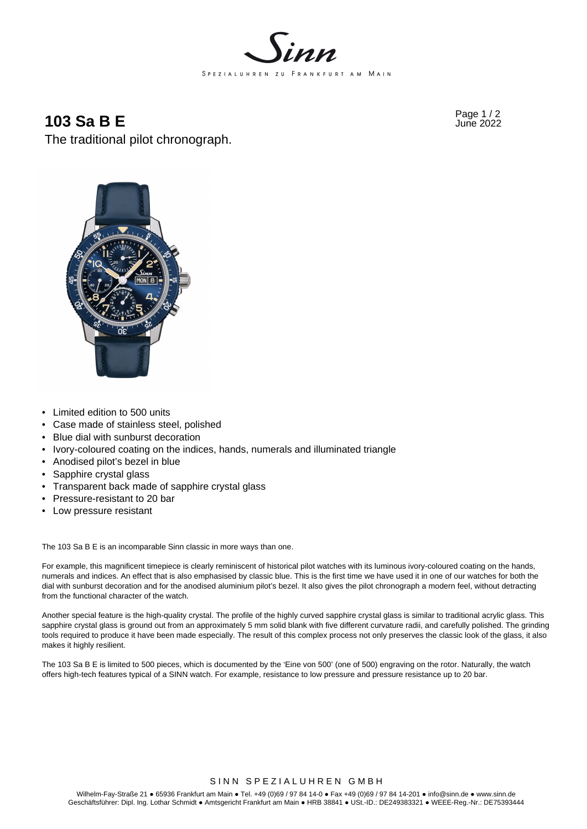

# Page 1 / 2 **103 Sa B E** June 2022

The traditional pilot chronograph.



- Limited edition to 500 units
- Case made of stainless steel, polished
- Blue dial with sunburst decoration
- Ivory-coloured coating on the indices, hands, numerals and illuminated triangle
- Anodised pilot's bezel in blue
- Sapphire crystal glass
- Transparent back made of sapphire crystal glass
- Pressure-resistant to 20 bar
- Low pressure resistant

The 103 Sa B E is an incomparable Sinn classic in more ways than one.

For example, this magnificent timepiece is clearly reminiscent of historical pilot watches with its luminous ivory-coloured coating on the hands, numerals and indices. An effect that is also emphasised by classic blue. This is the first time we have used it in one of our watches for both the dial with sunburst decoration and for the anodised aluminium pilot's bezel. It also gives the pilot chronograph a modern feel, without detracting from the functional character of the watch.

Another special feature is the high-quality crystal. The profile of the highly curved sapphire crystal glass is similar to traditional acrylic glass. This sapphire crystal glass is ground out from an approximately 5 mm solid blank with five different curvature radii, and carefully polished. The grinding tools required to produce it have been made especially. The result of this complex process not only preserves the classic look of the glass, it also makes it highly resilient.

The 103 Sa B E is limited to 500 pieces, which is documented by the 'Eine von 500' (one of 500) engraving on the rotor. Naturally, the watch offers high-tech features typical of a SINN watch. For example, resistance to low pressure and pressure resistance up to 20 bar.

### SINN SPEZIALUHREN GMBH